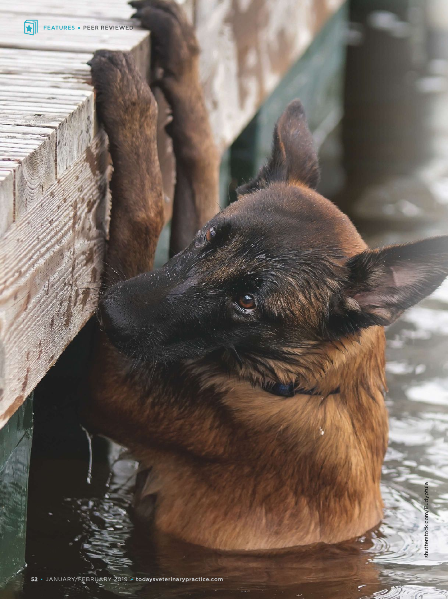

**CTR**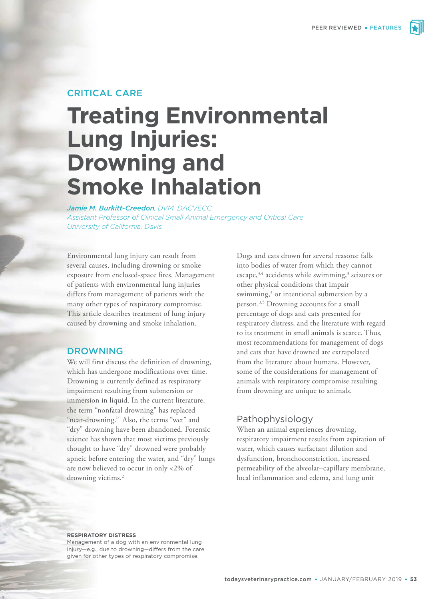# CRITICAL CARE

# **Treating Environmental Lung Injuries: Drowning and Smoke Inhalation**

*Jamie M. Burkitt-Creedon, DVM, DACVECC Assistant Professor of Clinical Small Animal Emergency and Critical Care University of California, Davis*

Environmental lung injury can result from several causes, including drowning or smoke exposure from enclosed-space fires. Management of patients with environmental lung injuries differs from management of patients with the many other types of respiratory compromise. This article describes treatment of lung injury caused by drowning and smoke inhalation.

#### DROWNING

We will first discuss the definition of drowning, which has undergone modifications over time. Drowning is currently defined as respiratory impairment resulting from submersion or immersion in liquid. In the current literature, the term "nonfatal drowning" has replaced "near-drowning."<sup>1</sup> Also, the terms "wet" and "dry" drowning have been abandoned. Forensic science has shown that most victims previously thought to have "dry" drowned were probably apneic before entering the water, and "dry" lungs are now believed to occur in only <2% of drowning victims.<sup>2</sup>

Dogs and cats drown for several reasons: falls into bodies of water from which they cannot escape, $3,4$  accidents while swimming, $3$  seizures or other physical conditions that impair swimming,<sup>3</sup> or intentional submersion by a person.<sup>3,5</sup> Drowning accounts for a small percentage of dogs and cats presented for respiratory distress, and the literature with regard to its treatment in small animals is scarce. Thus, most recommendations for management of dogs and cats that have drowned are extrapolated from the literature about humans. However, some of the considerations for management of animals with respiratory compromise resulting from drowning are unique to animals.

# Pathophysiology

When an animal experiences drowning, respiratory impairment results from aspiration of water, which causes surfactant dilution and dysfunction, bronchoconstriction, increased permeability of the alveolar–capillary membrane, local inflammation and edema, and lung unit

#### **RESPIRATORY DISTRESS**

Management of a dog with an environmental lung injury—e.g., due to drowning—differs from the care given for other types of respiratory compromise.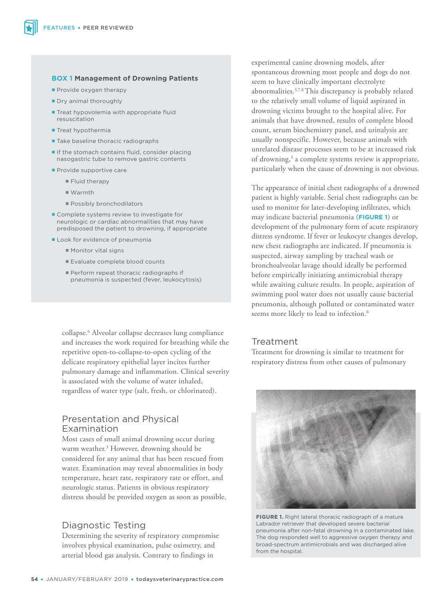#### **BOX 1 Management of Drowning Patients**

- Provide oxygen therapy
- Dry animal thoroughly
- **Treat hypovolemia with appropriate fluid** resuscitation
- $\blacksquare$  Treat hypothermia
- **Take baseline thoracic radiographs**
- $\blacksquare$  If the stomach contains fluid, consider placing nasogastric tube to remove gastric contents
- **Provide supportive care** 
	- **Fluid therapy**
	- Warmth
	- **Possibly bronchodilators**
- Complete systems review to investigate for neurologic or cardiac abnormalities that may have predisposed the patient to drowning, if appropriate
- Look for evidence of pneumonia
	- **Monitor vital signs**
	- Evaluate complete blood counts
	- Perform repeat thoracic radiographs if pneumonia is suspected (fever, leukocytosis)

collapse.<sup>6</sup> Alveolar collapse decreases lung compliance and increases the work required for breathing while the repetitive open-to-collapse-to-open cycling of the delicate respiratory epithelial layer incites further pulmonary damage and inflammation. Clinical severity is associated with the volume of water inhaled, regardless of water type (salt, fresh, or chlorinated).

# Presentation and Physical Examination

Most cases of small animal drowning occur during warm weather.<sup>3</sup> However, drowning should be considered for any animal that has been rescued from water. Examination may reveal abnormalities in body temperature, heart rate, respiratory rate or effort, and neurologic status. Patients in obvious respiratory distress should be provided oxygen as soon as possible.

# Diagnostic Testing

Determining the severity of respiratory compromise involves physical examination, pulse oximetry, and arterial blood gas analysis. Contrary to findings in

experimental canine drowning models, after spontaneous drowning most people and dogs do not seem to have clinically important electrolyte abnormalities.3,7,8 This discrepancy is probably related to the relatively small volume of liquid aspirated in drowning victims brought to the hospital alive. For animals that have drowned, results of complete blood count, serum biochemistry panel, and urinalysis are usually nonspecific. However, because animals with unrelated disease processes seem to be at increased risk of drowning,<sup>3</sup> a complete systems review is appropriate, particularly when the cause of drowning is not obvious.

The appearance of initial chest radiographs of a drowned patient is highly variable. Serial chest radiographs can be used to monitor for later-developing infiltrates, which may indicate bacterial pneumonia (**FIGURE 1**) or development of the pulmonary form of acute respiratory distress syndrome. If fever or leukocyte changes develop, new chest radiographs are indicated. If pneumonia is suspected, airway sampling by tracheal wash or bronchoalveolar lavage should ideally be performed before empirically initiating antimicrobial therapy while awaiting culture results. In people, aspiration of swimming pool water does not usually cause bacterial pneumonia, although polluted or contaminated water seems more likely to lead to infection.<sup>6</sup>

# Treatment

Treatment for drowning is similar to treatment for respiratory distress from other causes of pulmonary



**FIGURE 1.** Right lateral thoracic radiograph of a mature Labrador retriever that developed severe bacterial pneumonia after non-fatal drowning in a contaminated lake. The dog responded well to aggressive oxygen therapy and broad-spectrum antimicrobials and was discharged alive from the hospital.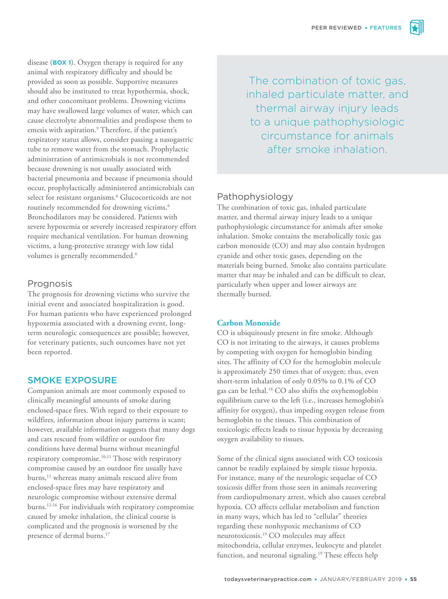disease (**BOX 1**). Oxygen therapy is required for any animal with respiratory difficulty and should be provided as soon as possible. Supportive measures should also be instituted to treat hypothermia, shock, and other concomitant problems. Drowning victims may have swallowed large volumes of water, which can cause electrolyte abnormalities and predispose them to emesis with aspiration.<sup>9</sup> Therefore, if the patient's respiratory status allows, consider passing a nasogastric tube to remove water from the stomach. Prophylactic administration of antimicrobials is not recommended because drowning is not usually associated with bacterial pneumonia and because if pneumonia should occur, prophylactically administered antimicrobials can select for resistant organisms.<sup>6</sup> Glucocorticoids are not routinely recommended for drowning victims.<sup>6</sup> Bronchodilators may be considered. Patients with severe hypoxemia or severely increased respiratory effort require mechanical ventilation. For human drowning victims, a lung-protective strategy with low tidal volumes is generally recommended.<sup>6</sup>

# Prognosis

The prognosis for drowning victims who survive the initial event and associated hospitalization is good. For human patients who have experienced prolonged hypoxemia associated with a drowning event, longterm neurologic consequences are possible; however, for veterinary patients, such outcomes have not yet been reported.

# SMOKE EXPOSURE

Companion animals are most commonly exposed to clinically meaningful amounts of smoke during enclosed-space fires. With regard to their exposure to wildfires, information about injury patterns is scant; however, available information suggests that many dogs and cats rescued from wildfire or outdoor fire conditions have dermal burns without meaningful respiratory compromise.10,11 Those with respiratory compromise caused by an outdoor fire usually have burns,<sup>11</sup> whereas many animals rescued alive from enclosed-space fires may have respiratory and neurologic compromise without extensive dermal burns.12-16 For individuals with respiratory compromise caused by smoke inhalation, the clinical course is complicated and the prognosis is worsened by the presence of dermal burns.<sup>17</sup>

The combination of toxic gas, inhaled particulate matter, and thermal airway injury leads to a unique pathophysiologic circumstance for animals after smoke inhalation.

# Pathophysiology

The combination of toxic gas, inhaled particulate matter, and thermal airway injury leads to a unique pathophysiologic circumstance for animals after smoke inhalation. Smoke contains the metabolically toxic gas carbon monoxide (CO) and may also contain hydrogen cyanide and other toxic gases, depending on the materials being burned. Smoke also contains particulate matter that may be inhaled and can be difficult to clear, particularly when upper and lower airways are thermally burned.

# **Carbon Monoxide**

CO is ubiquitously present in fire smoke. Although CO is not irritating to the airways, it causes problems by competing with oxygen for hemoglobin binding sites. The affinity of CO for the hemoglobin molecule is approximately 250 times that of oxygen; thus, even short-term inhalation of only 0.05% to 0.1% of CO gas can be lethal.<sup>18</sup> CO also shifts the oxyhemoglobin equilibrium curve to the left (i.e., increases hemoglobin's affinity for oxygen), thus impeding oxygen release from hemoglobin to the tissues. This combination of toxicologic effects leads to tissue hypoxia by decreasing oxygen availability to tissues.

Some of the clinical signs associated with CO toxicosis cannot be readily explained by simple tissue hypoxia. For instance, many of the neurologic sequelae of CO toxicosis differ from those seen in animals recovering from cardiopulmonary arrest, which also causes cerebral hypoxia. CO affects cellular metabolism and function in many ways, which has led to "cellular" theories regarding these nonhypoxic mechanisms of CO neurotoxicosis.<sup>19</sup> CO molecules may affect mitochondria, cellular enzymes, leukocyte and platelet function, and neuronal signaling.<sup>19</sup> These effects help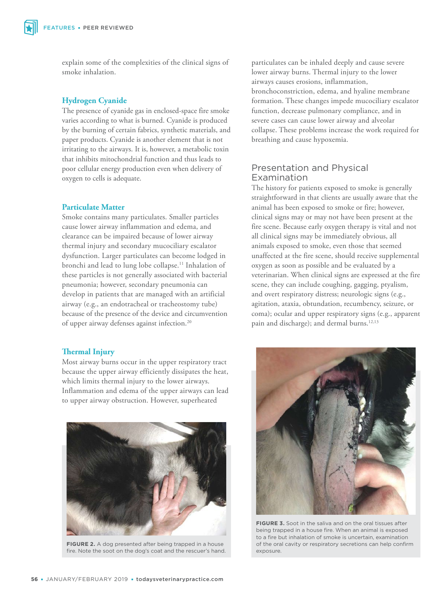explain some of the complexities of the clinical signs of smoke inhalation.

#### **Hydrogen Cyanide**

The presence of cyanide gas in enclosed-space fire smoke varies according to what is burned. Cyanide is produced by the burning of certain fabrics, synthetic materials, and paper products. Cyanide is another element that is not irritating to the airways. It is, however, a metabolic toxin that inhibits mitochondrial function and thus leads to poor cellular energy production even when delivery of oxygen to cells is adequate.

#### **Particulate Matter**

Smoke contains many particulates. Smaller particles cause lower airway inflammation and edema, and clearance can be impaired because of lower airway thermal injury and secondary mucociliary escalator dysfunction. Larger particulates can become lodged in bronchi and lead to lung lobe collapse.<sup>11</sup> Inhalation of these particles is not generally associated with bacterial pneumonia; however, secondary pneumonia can develop in patients that are managed with an artificial airway (e.g., an endotracheal or tracheostomy tube) because of the presence of the device and circumvention of upper airway defenses against infection.<sup>20</sup>

# **Thermal Injury**

Most airway burns occur in the upper respiratory tract because the upper airway efficiently dissipates the heat, which limits thermal injury to the lower airways. Inflammation and edema of the upper airways can lead to upper airway obstruction. However, superheated



**FIGURE 2.** A dog presented after being trapped in a house fire. Note the soot on the dog's coat and the rescuer's hand.

particulates can be inhaled deeply and cause severe lower airway burns. Thermal injury to the lower airways causes erosions, inflammation, bronchoconstriction, edema, and hyaline membrane formation. These changes impede mucociliary escalator function, decrease pulmonary compliance, and in severe cases can cause lower airway and alveolar collapse. These problems increase the work required for breathing and cause hypoxemia.

# Presentation and Physical Examination

The history for patients exposed to smoke is generally straightforward in that clients are usually aware that the animal has been exposed to smoke or fire; however, clinical signs may or may not have been present at the fire scene. Because early oxygen therapy is vital and not all clinical signs may be immediately obvious, all animals exposed to smoke, even those that seemed unaffected at the fire scene, should receive supplemental oxygen as soon as possible and be evaluated by a veterinarian. When clinical signs are expressed at the fire scene, they can include coughing, gagging, ptyalism, and overt respiratory distress; neurologic signs (e.g., agitation, ataxia, obtundation, recumbency, seizure, or coma); ocular and upper respiratory signs (e.g., apparent pain and discharge); and dermal burns.<sup>12,13</sup>



**FIGURE 3.** Soot in the saliva and on the oral tissues after being trapped in a house fire. When an animal is exposed to a fire but inhalation of smoke is uncertain, examination of the oral cavity or respiratory secretions can help confirm exposure.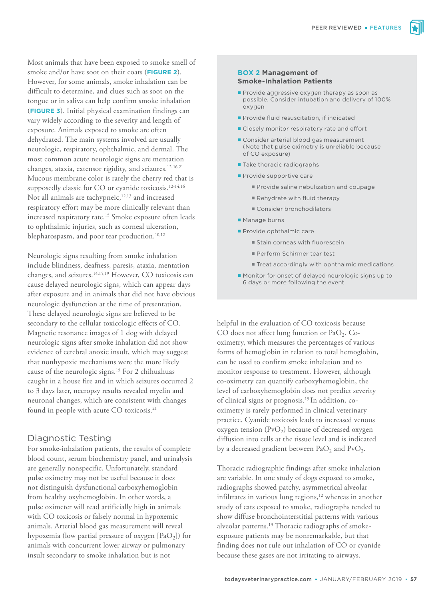Most animals that have been exposed to smoke smell of smoke and/or have soot on their coats (**FIGURE 2**). However, for some animals, smoke inhalation can be difficult to determine, and clues such as soot on the tongue or in saliva can help confirm smoke inhalation (**FIGURE 3**). Initial physical examination findings can vary widely according to the severity and length of exposure. Animals exposed to smoke are often dehydrated. The main systems involved are usually neurologic, respiratory, ophthalmic, and dermal. The most common acute neurologic signs are mentation changes, ataxia, extensor rigidity, and seizures.12-16,21 Mucous membrane color is rarely the cherry red that is supposedly classic for CO or cyanide toxicosis.<sup>12-14,16</sup> Not all animals are tachypneic,<sup>12,13</sup> and increased respiratory effort may be more clinically relevant than increased respiratory rate.<sup>15</sup> Smoke exposure often leads to ophthalmic injuries, such as corneal ulceration, blepharospasm, and poor tear production.<sup>10,12</sup>

Neurologic signs resulting from smoke inhalation include blindness, deafness, paresis, ataxia, mentation changes, and seizures.14,15,19 However, CO toxicosis can cause delayed neurologic signs, which can appear days after exposure and in animals that did not have obvious neurologic dysfunction at the time of presentation. These delayed neurologic signs are believed to be secondary to the cellular toxicologic effects of CO. Magnetic resonance images of 1 dog with delayed neurologic signs after smoke inhalation did not show evidence of cerebral anoxic insult, which may suggest that nonhypoxic mechanisms were the more likely cause of the neurologic signs.<sup>15</sup> For 2 chihuahuas caught in a house fire and in which seizures occurred 2 to 3 days later, necropsy results revealed myelin and neuronal changes, which are consistent with changes found in people with acute CO toxicosis.<sup>21</sup>

# Diagnostic Testing

For smoke-inhalation patients, the results of complete blood count, serum biochemistry panel, and urinalysis are generally nonspecific. Unfortunately, standard pulse oximetry may not be useful because it does not distinguish dysfunctional carboxyhemoglobin from healthy oxyhemoglobin. In other words, a pulse oximeter will read artificially high in animals with CO toxicosis or falsely normal in hypoxemic animals. Arterial blood gas measurement will reveal hypoxemia (low partial pressure of oxygen  $\left[\text{PaO}_2\right]$ ) for animals with concurrent lower airway or pulmonary insult secondary to smoke inhalation but is not

#### **BOX 2 Management of Smoke-Inhalation Patients**

- Provide aggressive oxygen therapy as soon as possible. Consider intubation and delivery of 100% oxygen
- Provide fluid resuscitation, if indicated
- **Closely monitor respiratory rate and effort**
- Consider arterial blood gas measurement (Note that pulse oximetry is unreliable because of CO exposure)
- **Take thoracic radiographs**
- **Provide supportive care** 
	- Provide saline nebulization and coupage
	- Rehydrate with fluid therapy
	- Consider bronchodilators
- **Manage burns**
- Provide ophthalmic care
	- **Stain corneas with fluorescein**
	- Perform Schirmer tear test
	- Treat accordingly with ophthalmic medications
- **Monitor for onset of delayed neurologic signs up to** 6 days or more following the event

helpful in the evaluation of CO toxicosis because CO does not affect lung function or  $PaO<sub>2</sub>$ . Cooximetry, which measures the percentages of various forms of hemoglobin in relation to total hemoglobin, can be used to confirm smoke inhalation and to monitor response to treatment. However, although co-oximetry can quantify carboxyhemoglobin, the level of carboxyhemoglobin does not predict severity of clinical signs or prognosis.15 In addition, cooximetry is rarely performed in clinical veterinary practice. Cyanide toxicosis leads to increased venous oxygen tension  $(\text{PvO}_2)$  because of decreased oxygen diffusion into cells at the tissue level and is indicated by a decreased gradient between  $PaO_2$  and  $PvO_2$ .

Thoracic radiographic findings after smoke inhalation are variable. In one study of dogs exposed to smoke, radiographs showed patchy, asymmetrical alveolar infiltrates in various lung regions, $12$  whereas in another study of cats exposed to smoke, radiographs tended to show diffuse bronchointerstitial patterns with various alveolar patterns.<sup>13</sup> Thoracic radiographs of smokeexposure patients may be nonremarkable, but that finding does not rule out inhalation of CO or cyanide because these gases are not irritating to airways.